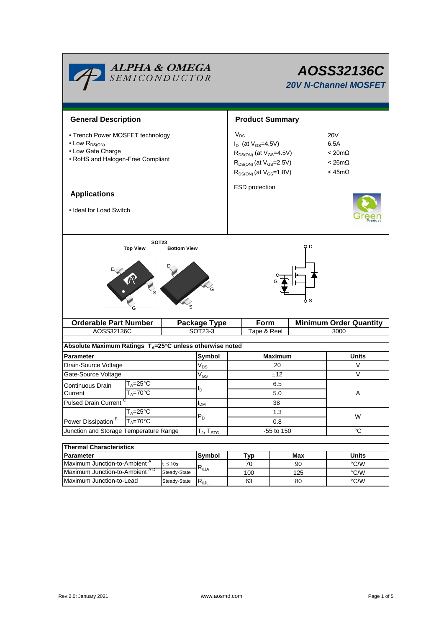| <b>ALPHA &amp; OMEGA</b><br>SEMICONDUCTOR                                                                              |              | AOSS32136C<br><b>20V N-Channel MOSFET</b>                                                                                                           |             |                                                                   |                               |  |  |
|------------------------------------------------------------------------------------------------------------------------|--------------|-----------------------------------------------------------------------------------------------------------------------------------------------------|-------------|-------------------------------------------------------------------|-------------------------------|--|--|
| <b>General Description</b>                                                                                             |              | <b>Product Summary</b>                                                                                                                              |             |                                                                   |                               |  |  |
| • Trench Power MOSFET technology<br>$\cdot$ Low $R_{DS(ON)}$<br>• Low Gate Charge<br>• RoHS and Halogen-Free Compliant |              | $V_{DS}$<br>$I_D$ (at $V_{GS} = 4.5V$ )<br>$R_{DS(ON)}$ (at $V_{GS}$ =4.5V)<br>$R_{DS(ON)}$ (at $V_{GS}$ =2.5V)<br>$R_{DS(ON)}$ (at $V_{GS}$ =1.8V) |             | 20V<br>6.5A<br>$< 20m\Omega$<br>$< 26m\Omega$<br>$<$ 45m $\Omega$ |                               |  |  |
| <b>Applications</b>                                                                                                    |              | ESD protection                                                                                                                                      |             |                                                                   |                               |  |  |
| • Ideal for Load Switch                                                                                                |              |                                                                                                                                                     |             |                                                                   |                               |  |  |
|                                                                                                                        |              | 6 S                                                                                                                                                 |             |                                                                   |                               |  |  |
| <b>Orderable Part Number</b>                                                                                           |              | <b>Package Type</b>                                                                                                                                 | Form        |                                                                   | <b>Minimum Order Quantity</b> |  |  |
| AOSS32136C                                                                                                             | SOT23-3      |                                                                                                                                                     | Tape & Reel |                                                                   | 3000                          |  |  |
| Absolute Maximum Ratings $T_A = 25^\circ \text{C}$ unless otherwise noted                                              |              |                                                                                                                                                     |             |                                                                   |                               |  |  |
| <b>Parameter</b>                                                                                                       |              | Symbol                                                                                                                                              |             | <b>Maximum</b>                                                    | Units                         |  |  |
| Drain-Source Voltage                                                                                                   |              | $V_{DS}$                                                                                                                                            | 20          |                                                                   | V                             |  |  |
| Gate-Source Voltage                                                                                                    |              | $V_{GS}$                                                                                                                                            | ±12         |                                                                   | V                             |  |  |
| $\mathsf{T}_\mathsf{A}\texttt{=}25^\circ\mathsf{C}$                                                                    |              |                                                                                                                                                     | 6.5         |                                                                   |                               |  |  |
| Continuous Drain<br>Current<br>$I_A = 70^\circ C$                                                                      |              | Ι <sub>D</sub>                                                                                                                                      |             | 5.0                                                               | A                             |  |  |
| <b>Pulsed Drain Current</b>                                                                                            |              | $I_{DM}$                                                                                                                                            | 38          |                                                                   |                               |  |  |
| $T_A = 25^{\circ}$ C                                                                                                   |              |                                                                                                                                                     | 1.3         |                                                                   |                               |  |  |
| Power Dissipation <sup>B</sup><br>$T_A = 70^\circ C$                                                                   |              | $P_D$                                                                                                                                               | 0.8         |                                                                   | W                             |  |  |
| Junction and Storage Temperature Range                                                                                 |              | $T_J$ , $T_{STG}$                                                                                                                                   | -55 to 150  |                                                                   | $^{\circ}C$                   |  |  |
|                                                                                                                        |              |                                                                                                                                                     |             |                                                                   |                               |  |  |
| <b>Thermal Characteristics</b>                                                                                         |              |                                                                                                                                                     |             |                                                                   |                               |  |  |
| Parameter                                                                                                              |              | Symbol                                                                                                                                              | Typ         | Max                                                               | <b>Units</b>                  |  |  |
| Maximum Junction-to-Ambient <sup>A</sup><br>$t \leq 10s$                                                               |              | $R_{\theta JA}$                                                                                                                                     | 70          | 90                                                                | °C/W                          |  |  |
| Maximum Junction-to-Ambient AD                                                                                         | Steady-State |                                                                                                                                                     | 100         | 125                                                               | $^{\circ}$ C/W                |  |  |

Maximum Junction-to-Lead Steady-State R<sub>0JL</sub> 63 80 60 °C/W

125 80

63

Steady-State Steady-State  $R_{\theta JL}$  ٦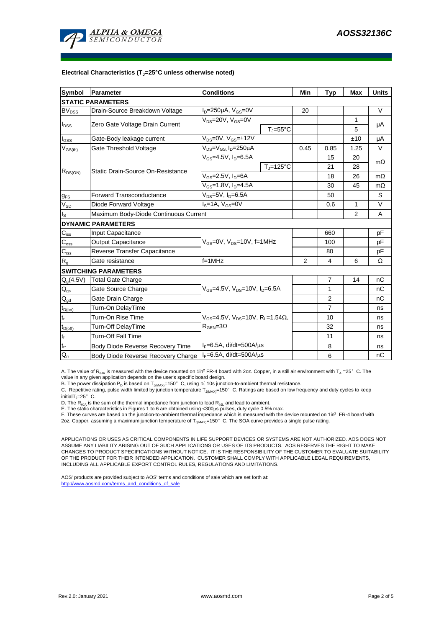

#### **Electrical Characteristics (TJ=25°C unless otherwise noted)**

| <b>Symbol</b>                | Parameter                                                                | <b>Conditions</b>                                                                            |                   | Min  | Typ            | Max            | <b>Units</b> |  |  |  |  |
|------------------------------|--------------------------------------------------------------------------|----------------------------------------------------------------------------------------------|-------------------|------|----------------|----------------|--------------|--|--|--|--|
| <b>STATIC PARAMETERS</b>     |                                                                          |                                                                                              |                   |      |                |                |              |  |  |  |  |
| $\mathsf{BV}_{\mathsf{DSS}}$ | Drain-Source Breakdown Voltage                                           | $I_D = 250 \mu A$ , $V_{GS} = 0V$                                                            |                   | 20   |                |                | $\vee$       |  |  |  |  |
| $I_{DSS}$                    | Zero Gate Voltage Drain Current                                          | $V_{DS}$ =20V, $V_{GS}$ =0V                                                                  |                   |      |                | 1              | μA           |  |  |  |  |
|                              |                                                                          |                                                                                              | $T_{\rm J}$ =55°C |      |                | 5              |              |  |  |  |  |
| $I_{GSS}$                    | Gate-Body leakage current                                                | $V_{DS} = 0V$ , $V_{GS} = \pm 12V$                                                           |                   |      |                | ±10            | μA           |  |  |  |  |
| $V_{GS(th)}$                 | Gate Threshold Voltage                                                   | V <sub>DS</sub> =V <sub>GS</sub> I <sub>D</sub> =250µA                                       |                   | 0.45 | 0.85           | 1.25           | V            |  |  |  |  |
| $R_{DS(ON)}$                 | Static Drain-Source On-Resistance                                        | $V_{GS} = 4.5V$ , $I_{D} = 6.5A$                                                             |                   |      | 15             | 20             | $m\Omega$    |  |  |  |  |
|                              |                                                                          |                                                                                              | $T_J = 125$ °C    |      | 21             | 28             |              |  |  |  |  |
|                              |                                                                          | $V_{GS}$ =2.5V, $I_D$ =6A                                                                    |                   |      | 18             | 26             | $m\Omega$    |  |  |  |  |
|                              |                                                                          | $V_{GS}$ =1.8V, $I_{D}$ =4.5A                                                                |                   | 30   | 45             | $m\Omega$      |              |  |  |  |  |
| $g_{FS}$                     | <b>Forward Transconductance</b>                                          | V <sub>DS</sub> =5V, I <sub>D</sub> =6.5A                                                    |                   |      | 50             |                | S            |  |  |  |  |
| $V_{SD}$                     | Diode Forward Voltage                                                    | $Is=1A, VGS=0V$                                                                              |                   |      | 0.6            | $\mathbf{1}$   | $\vee$       |  |  |  |  |
| Is                           | Maximum Body-Diode Continuous Current                                    |                                                                                              |                   |      |                | $\overline{2}$ | A            |  |  |  |  |
|                              | <b>DYNAMIC PARAMETERS</b>                                                |                                                                                              |                   |      |                |                |              |  |  |  |  |
| $C_{\text{iss}}$             | Input Capacitance                                                        | $V_{GS}$ =0V, $V_{DS}$ =10V, f=1MHz                                                          |                   |      | 660            |                | рF           |  |  |  |  |
| $C_{\rm oss}$                | <b>Output Capacitance</b>                                                |                                                                                              |                   |      | 100            |                | pF           |  |  |  |  |
| $C_{\rm rss}$                | Reverse Transfer Capacitance                                             |                                                                                              |                   |      | 80             |                | рF           |  |  |  |  |
| $R_{g}$                      | Gate resistance                                                          | $f = 1$ MHz                                                                                  |                   | 2    | $\overline{4}$ | 6              | Ω            |  |  |  |  |
|                              | <b>SWITCHING PARAMETERS</b>                                              |                                                                                              |                   |      |                |                |              |  |  |  |  |
| $Q_q(4.5V)$                  | <b>Total Gate Charge</b>                                                 | $V_{\text{GS}} = 4.5V$ , $V_{\text{DS}} = 10V$ , $I_{\text{D}} = 6.5A$                       |                   |      | $\overline{7}$ | 14             | nC           |  |  |  |  |
| $Q_{gs}$                     | Gate Source Charge                                                       |                                                                                              |                   |      | 1              |                | nC           |  |  |  |  |
| $\mathsf{Q}_{\mathsf{gd}}$   | Gate Drain Charge                                                        |                                                                                              |                   |      | 2              |                | nС           |  |  |  |  |
| $t_{D(on)}$                  | Turn-On DelayTime                                                        | $V_{GS}$ =4.5V, $V_{DS}$ =10V, R <sub>1</sub> =1.54 $\Omega$ ,<br>$R_{\text{GEN}} = 3\Omega$ |                   |      | $\overline{7}$ |                | ns           |  |  |  |  |
| t,                           | Turn-On Rise Time                                                        |                                                                                              |                   |      | 10             |                | ns           |  |  |  |  |
| $t_{D(off)}$                 | Turn-Off DelayTime                                                       |                                                                                              |                   |      | 32             |                | ns           |  |  |  |  |
| $\mathbf{t}_\text{f}$        | <b>Turn-Off Fall Time</b>                                                |                                                                                              |                   |      | 11             |                | ns           |  |  |  |  |
| $\mathfrak{t}_{\text{rr}}$   | Body Diode Reverse Recovery Time                                         | $I_F = 6.5A$ , di/dt=500A/ $\mu$ s                                                           |                   |      | 8              |                | ns           |  |  |  |  |
| $Q_{rr}$                     | $I_F = 6.5A$ , di/dt=500A/ $\mu$ s<br>Body Diode Reverse Recovery Charge |                                                                                              |                   | 6    |                | nC             |              |  |  |  |  |

A. The value of R<sub>0JA</sub> is measured with the device mounted on 1in<sup>2</sup> FR-4 board with 2oz. Copper, in a still air environment with T<sub>A</sub> =25°C. The value in any given application depends on the user's specific board design.

B. The power dissipation  ${\sf P}_{\sf D}$  is based on  ${\sf T}_{\sf J(MAX)}$ =150 $^\circ\,$  C, using  $\leqslant$  10s junction-to-ambient thermal resistance.

C. Repetitive rating, pulse width limited by junction temperature T $_{\rm J(MAX)}$ =150°C. Ratings are based on low frequency and duty cycles to keep

 $initialT = 25^\circ$  C.

D. The R<sub>eJA</sub> is the sum of the thermal impedance from junction to lead R<sub>eJL</sub> and lead to ambient.<br>E. The static characteristics in Figures 1 to 6 are obtained using <300µs pulses, duty cycle 0.5% max.<br>F. These curves ar

2oz. Copper, assuming a maximum junction temperature of T<sub>J(MAX)</sub>=150°C. The SOA curve provides a single pulse rating.

APPLICATIONS OR USES AS CRITICAL COMPONENTS IN LIFE SUPPORT DEVICES OR SYSTEMS ARE NOT AUTHORIZED. AOS DOES NOT ASSUME ANY LIABILITY ARISING OUT OF SUCH APPLICATIONS OR USES OF ITS PRODUCTS. AOS RESERVES THE RIGHT TO MAKE CHANGES TO PRODUCT SPECIFICATIONS WITHOUT NOTICE. IT IS THE RESPONSIBILITY OF THE CUSTOMER TO EVALUATE SUITABILITY OF THE PRODUCT FOR THEIR INTENDED APPLICATION. CUSTOMER SHALL COMPLY WITH APPLICABLE LEGAL REQUIREMENTS, INCLUDING ALL APPLICABLE EXPORT CONTROL RULES, REGULATIONS AND LIMITATIONS.

AOS' products are provided subject to AOS' terms and conditions of sale which are set forth at: http://www.aosmd.com/terms\_and\_conditions\_of\_sale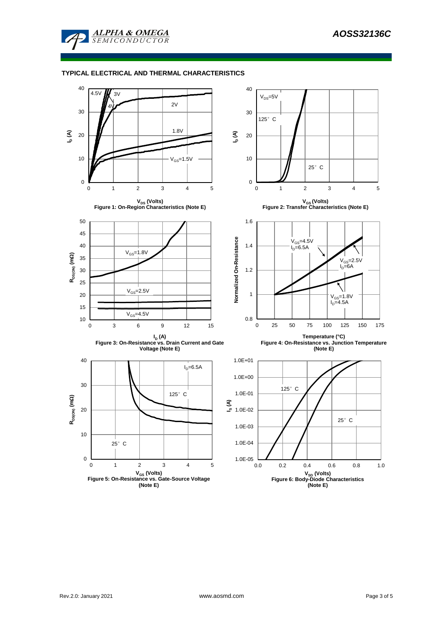

### **TYPICAL ELECTRICAL AND THERMAL CHARACTERISTICS**

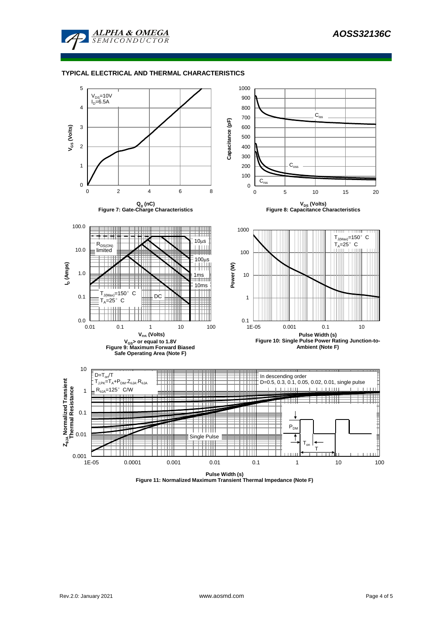

#### **TYPICAL ELECTRICAL AND THERMAL CHARACTERISTICS**